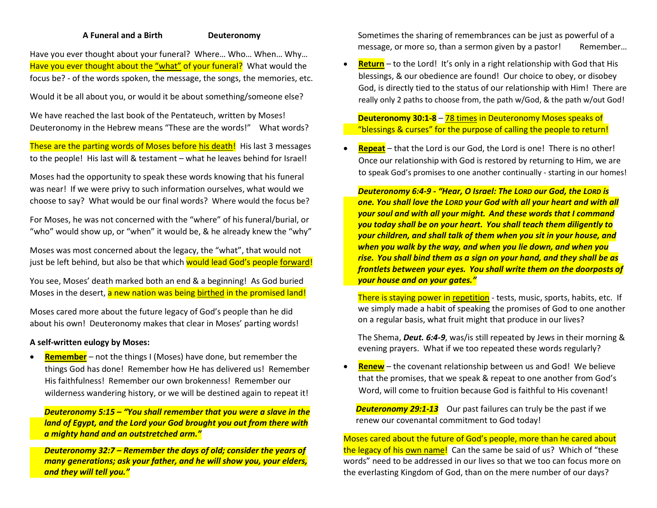## **A Funeral and a Birth Deuteronomy**

Have you ever thought about your funeral? Where… Who… When… Why… Have you ever thought about the "what" of your funeral? What would the focus be? - of the words spoken, the message, the songs, the memories, etc.

Would it be all about you, or would it be about something/someone else?

We have reached the last book of the Pentateuch, written by Moses! Deuteronomy in the Hebrew means "These are the words!" What words?

These are the parting words of Moses before his death! His last 3 messages to the people! His last will & testament – what he leaves behind for Israel!

Moses had the opportunity to speak these words knowing that his funeral was near! If we were privy to such information ourselves, what would we choose to say? What would be our final words? Where would the focus be?

For Moses, he was not concerned with the "where" of his funeral/burial, or "who" would show up, or "when" it would be, & he already knew the "why"

Moses was most concerned about the legacy, the "what", that would not just be left behind, but also be that which would lead God's people forward!

You see, Moses' death marked both an end & a beginning! As God buried Moses in the desert, a new nation was being birthed in the promised land!

Moses cared more about the future legacy of God's people than he did about his own! Deuteronomy makes that clear in Moses' parting words!

## **A self-written eulogy by Moses:**

• **Remember** – not the things I (Moses) have done, but remember the things God has done! Remember how He has delivered us! Remember His faithfulness! Remember our own brokenness! Remember our wilderness wandering history, or we will be destined again to repeat it!

*Deuteronomy 5:15 – "You shall remember that you were a slave in the land of Egypt, and the Lord your God brought you out from there with a mighty hand and an outstretched arm."*

 *Deuteronomy 32:7 – Remember the days of old; consider the years of many generations; ask your father, and he will show you, your elders, and they will tell you."*

 Sometimes the sharing of remembrances can be just as powerful of a message, or more so, than a sermon given by a pastor! Remember...

**Return** – to the Lord! It's only in a right relationship with God that His blessings, & our obedience are found! Our choice to obey, or disobey God, is directly tied to the status of our relationship with Him! There are really only 2 paths to choose from, the path w/God, & the path w/out God!

 **Deuteronomy 30:1-8** – 78 times in Deuteronomy Moses speaks of "blessings & curses" for the purpose of calling the people to return!

• **Repeat** – that the Lord is our God, the Lord is one! There is no other! Once our relationship with God is restored by returning to Him, we are to speak God's promises to one another continually - starting in our homes!

 *Deuteronomy 6:4-9 - "Hear, O Israel: The LORD our God, the LORD is one. You shall love the LORD your God with all your heart and with all your soul and with all your might. And these words that I command you today shall be on your heart. You shall teach them diligently to your children, and shall talk of them when you sit in your house, and when you walk by the way, and when you lie down, and when you rise. You shall bind them as a sign on your hand, and they shall be as frontlets between your eyes. You shall write them on the doorposts of your house and on your gates."*

There is staying power in repetition - tests, music, sports, habits, etc. If we simply made a habit of speaking the promises of God to one another on a regular basis, what fruit might that produce in our lives?

 The Shema, *Deut. 6:4-9*, was/is still repeated by Jews in their morning & evening prayers. What if we too repeated these words regularly?

**Renew** – the covenant relationship between us and God! We believe that the promises, that we speak & repeat to one another from God's Word, will come to fruition because God is faithful to His covenant!

*Deuteronomy 29:1-13* Our past failures can truly be the past if we renew our covenantal commitment to God today!

Moses cared about the future of God's people, more than he cared about the legacy of his own name! Can the same be said of us? Which of "these words" need to be addressed in our lives so that we too can focus more on the everlasting Kingdom of God, than on the mere number of our days?